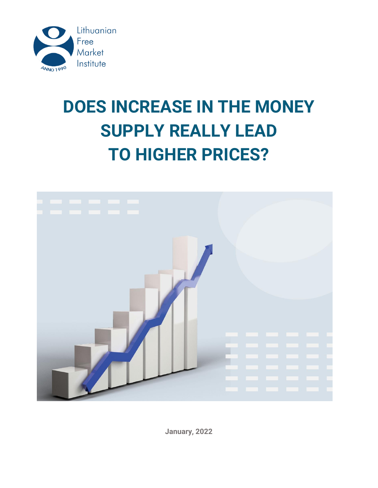

# **DOES INCREASE IN THE MONEY SUPPLY REALLY LEAD TO HIGHER PRICES?**



**January, 2022**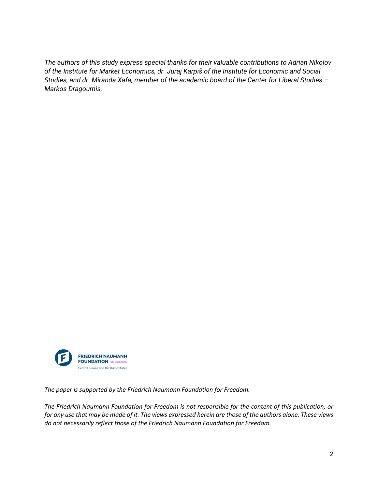*The authors of this study express special thanks for their valuable contributions to Adrian Nikolov of the Institute for Market Economics, dr. Juraj Karpiš of the Institute for Economic and Social Studies, and dr. Miranda Xafa, member of the academic board of the Center for Liberal Studies – Markos Dragoumis.*



*The paper is supported by the Friedrich Naumann Foundation for Freedom.* 

*The Friedrich Naumann Foundation for Freedom is not responsible for the content of this publication, or for any use that may be made of it. The views expressed herein are those of the authors alone. These views do not necessarily reflect those of the Friedrich Naumann Foundation for Freedom.*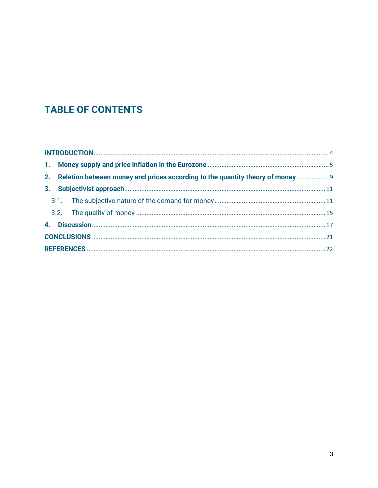### **TABLE OF CONTENTS**

|  |  | 2. Relation between money and prices according to the quantity theory of money 9 |  |  |  |
|--|--|----------------------------------------------------------------------------------|--|--|--|
|  |  |                                                                                  |  |  |  |
|  |  |                                                                                  |  |  |  |
|  |  |                                                                                  |  |  |  |
|  |  |                                                                                  |  |  |  |
|  |  |                                                                                  |  |  |  |
|  |  |                                                                                  |  |  |  |
|  |  |                                                                                  |  |  |  |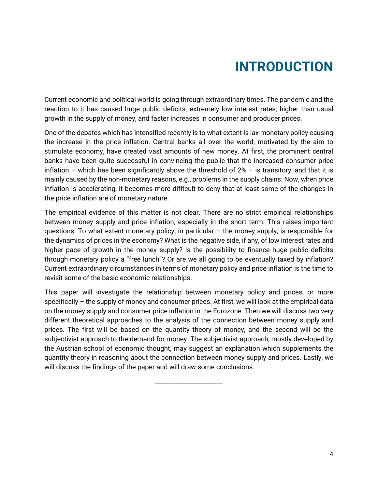## **INTRODUCTION**

<span id="page-3-0"></span>Current economic and political world is going through extraordinary times. The pandemic and the reaction to it has caused huge public deficits, extremely low interest rates, higher than usual growth in the supply of money, and faster increases in consumer and producer prices.

One of the debates which has intensified recently is to what extent is lax monetary policy causing the increase in the price inflation. Central banks all over the world, motivated by the aim to stimulate economy, have created vast amounts of new money. At first, the prominent central banks have been quite successful in convincing the public that the increased consumer price inflation – which has been significantly above the threshold of  $2\%$  – is transitory, and that it is mainly caused by the non-monetary reasons, e.g., problems in the supply chains. Now, when price inflation is accelerating, it becomes more difficult to deny that at least some of the changes in the price inflation are of monetary nature.

The empirical evidence of this matter is not clear. There are no strict empirical relationships between money supply and price inflation, especially in the short term. This raises important questions. To what extent monetary policy, in particular  $-$  the money supply, is responsible for the dynamics of prices in the economy? What is the negative side, if any, of low interest rates and higher pace of growth in the money supply? Is the possibility to finance huge public deficits through monetary policy a "free lunch"? Or are we all going to be eventually taxed by inflation? Current extraordinary circumstances in terms of monetary policy and price inflation is the time to revisit some of the basic economic relationships.

This paper will investigate the relationship between monetary policy and prices, or more specifically – the supply of money and consumer prices. At first, we will look at the empirical data on the money supply and consumer price inflation in the Eurozone. Then we will discuss two very different theoretical approaches to the analysis of the connection between money supply and prices. The first will be based on the quantity theory of money, and the second will be the subjectivist approach to the demand for money. The subjectivist approach, mostly developed by the Austrian school of economic thought, may suggest an explanation which supplements the quantity theory in reasoning about the connection between money supply and prices. Lastly, we will discuss the findings of the paper and will draw some conclusions.

\_\_\_\_\_\_\_\_\_\_\_\_\_\_\_\_\_\_\_\_\_\_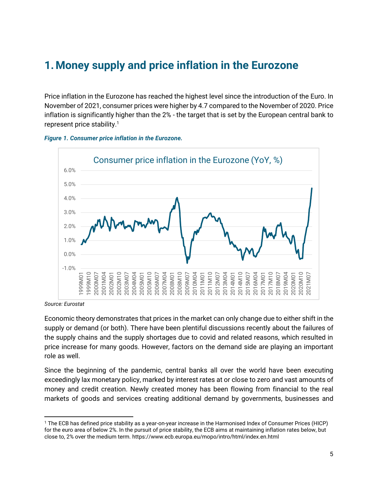### <span id="page-4-0"></span>**1.Money supply and price inflation in the Eurozone**

Price inflation in the Eurozone has reached the highest level since the introduction of the Euro. In November of 2021, consumer prices were higher by 4.7 compared to the November of 2020. Price inflation is significantly higher than the 2% - the target that is set by the European central bank to represent price stability.<sup>1</sup>





*Source: Eurostat*

Economic theory demonstrates that prices in the market can only change due to either shift in the supply or demand (or both). There have been plentiful discussions recently about the failures of the supply chains and the supply shortages due to covid and related reasons, which resulted in price increase for many goods. However, factors on the demand side are playing an important role as well.

Since the beginning of the pandemic, central banks all over the world have been executing exceedingly lax monetary policy, marked by interest rates at or close to zero and vast amounts of money and credit creation. Newly created money has been flowing from financial to the real markets of goods and services creating additional demand by governments, businesses and

<sup>1</sup> The ECB has defined price stability as a year-on-year increase in the Harmonised Index of Consumer Prices (HICP) for the euro area of below 2%. In the pursuit of price stability, the ECB aims at maintaining inflation rates below, but close to, 2% over the medium term. https://www.ecb.europa.eu/mopo/intro/html/index.en.html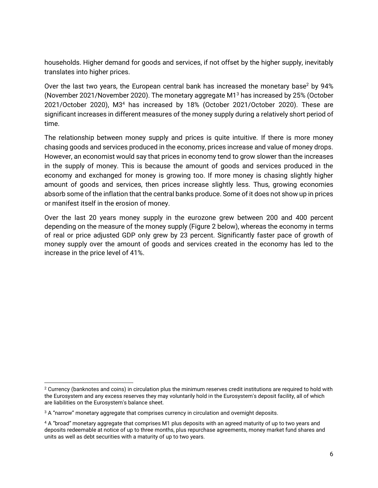households. Higher demand for goods and services, if not offset by the higher supply, inevitably translates into higher prices.

Over the last two years, the European central bank has increased the monetary base<sup>2</sup> by 94% (November 2021/November 2020). The monetary aggregate M1<sup>3</sup> has increased by 25% (October 2021/October 2020), M3<sup>4</sup> has increased by 18% (October 2021/October 2020). These are significant increases in different measures of the money supply during a relatively short period of time.

The relationship between money supply and prices is quite intuitive. If there is more money chasing goods and services produced in the economy, prices increase and value of money drops. However, an economist would say that prices in economy tend to grow slower than the increases in the supply of money. This is because the amount of goods and services produced in the economy and exchanged for money is growing too. If more money is chasing slightly higher amount of goods and services, then prices increase slightly less. Thus, growing economies absorb some of the inflation that the central banks produce. Some of it does not show up in prices or manifest itself in the erosion of money.

Over the last 20 years money supply in the eurozone grew between 200 and 400 percent depending on the measure of the money supply (Figure 2 below), whereas the economy in terms of real or price adjusted GDP only grew by 23 percent. Significantly faster pace of growth of money supply over the amount of goods and services created in the economy has led to the increase in the price level of 41%.

<sup>2</sup> Currency (banknotes and coins) in circulation plus the minimum reserves credit institutions are required to hold with the Eurosystem and any excess reserves they may voluntarily hold in the Eurosystem's deposit facility, all of which are liabilities on the Eurosystem's balance sheet.

<sup>&</sup>lt;sup>3</sup> A "narrow" monetary aggregate that comprises currency in circulation and overnight deposits.

<sup>4</sup> A "broad" monetary aggregate that comprises M1 plus deposits with an agreed maturity of up to two years and deposits redeemable at notice of up to three months, plus repurchase agreements, money market fund shares and units as well as debt securities with a maturity of up to two years.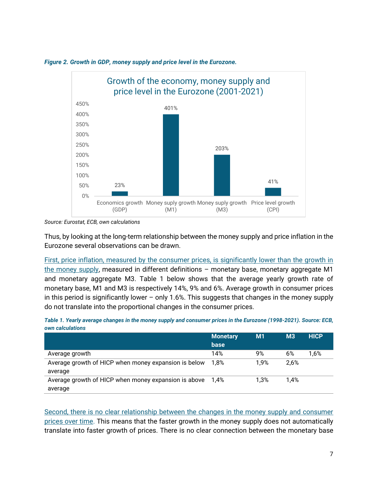

#### *Figure 2. Growth in GDP, money supply and price level in the Eurozone.*

Thus, by looking at the long-term relationship between the money supply and price inflation in the Eurozone several observations can be drawn.

First, price inflation, measured by the consumer prices, is significantly lower than the growth in the money supply, measured in different definitions  $-$  monetary base, monetary aggregate M1 and monetary aggregate M3. [Table 1](#page-6-0) below shows that the average yearly growth rate of monetary base, M1 and M3 is respectively 14%, 9% and 6%. Average growth in consumer prices in this period is significantly lower – only 1.6%. This suggests that changes in the money supply do not translate into the proportional changes in the consumer prices.

<span id="page-6-0"></span>*Table 1. Yearly average changes in the money supply and consumer prices in the Eurozone (1998-2021). Source: ECB, own calculations*

|                                                      | <b>Monetary</b><br>base | M1   | M <sub>3</sub> | <b>HICP</b> |
|------------------------------------------------------|-------------------------|------|----------------|-------------|
| Average growth                                       | 14%                     | 9%   | 6%             | 1,6%        |
| Average growth of HICP when money expansion is below | 1.8%                    | 1.9% | 2.6%           |             |
| average                                              |                         |      |                |             |
| Average growth of HICP when money expansion is above | 1.4%                    | 1.3% | 1.4%           |             |
| average                                              |                         |      |                |             |

Second, there is no clear relationship between the changes in the money supply and consumer prices over time. This means that the faster growth in the money supply does not automatically translate into faster growth of prices. There is no clear connection between the monetary base

*Source: Eurostat, ECB, own calculations*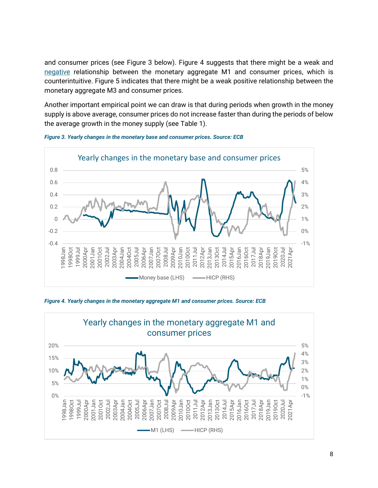and consumer prices (see [Figure 3](#page-7-0) below). [Figure 4](#page-7-1) suggests that there might be a weak and negative relationship between the monetary aggregate M1 and consumer prices, which is counterintuitive. [Figure 5](#page-8-1) indicates that there might be a weak positive relationship between the monetary aggregate M3 and consumer prices.

Another important empirical point we can draw is that during periods when growth in the money supply is above average, consumer prices do not increase faster than during the periods of below the average growth in the money supply (see [Table 1\)](#page-6-0).



<span id="page-7-0"></span>*Figure 3. Yearly changes in the monetary base and consumer prices. Source: ECB*

<span id="page-7-1"></span>*Figure 4. Yearly changes in the monetary aggregate M1 and consumer prices. Source: ECB*

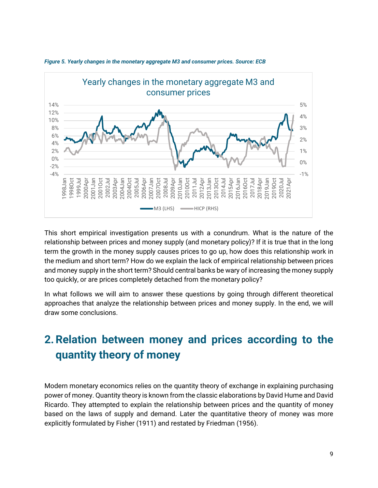

<span id="page-8-1"></span>*Figure 5. Yearly changes in the monetary aggregate M3 and consumer prices. Source: ECB*

This short empirical investigation presents us with a conundrum. What is the nature of the relationship between prices and money supply (and monetary policy)? If it is true that in the long term the growth in the money supply causes prices to go up, how does this relationship work in the medium and short term? How do we explain the lack of empirical relationship between prices and money supply in the short term? Should central banks be wary of increasing the money supply too quickly, or are prices completely detached from the monetary policy?

In what follows we will aim to answer these questions by going through different theoretical approaches that analyze the relationship between prices and money supply. In the end, we will draw some conclusions.

## <span id="page-8-0"></span>**2.Relation between money and prices according to the quantity theory of money**

Modern monetary economics relies on the quantity theory of exchange in explaining purchasing power of money. Quantity theory is known from the classic elaborations by David Hume and David Ricardo. They attempted to explain the relationship between prices and the quantity of money based on the laws of supply and demand. Later the quantitative theory of money was more explicitly formulated by Fisher (1911) and restated by Friedman (1956).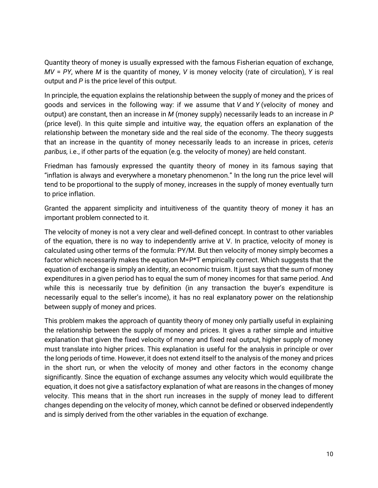Quantity theory of money is usually expressed with the famous Fisherian equation of exchange, *MV* = *PY*, where *M* is the quantity of money, *V* is money velocity (rate of circulation), *Y* is real output and *P* is the price level of this output.

In principle, the equation explains the relationship between the supply of money and the prices of goods and services in the following way: if we assume that *V* and *Y* (velocity of money and output) are constant, then an increase in *M* (money supply) necessarily leads to an increase in *P* (price level). In this quite simple and intuitive way, the equation offers an explanation of the relationship between the monetary side and the real side of the economy. The theory suggests that an increase in the quantity of money necessarily leads to an increase in prices, *ceteris paribus,* i.e., if other parts of the equation (e.g. the velocity of money) are held constant.

Friedman has famously expressed the quantity theory of money in its famous saying that "inflation is always and everywhere a monetary phenomenon." In the long run the price level will tend to be proportional to the supply of money, increases in the supply of money eventually turn to price inflation.

Granted the apparent simplicity and intuitiveness of the quantity theory of money it has an important problem connected to it.

The velocity of money is not a very clear and well-defined concept. In contrast to other variables of the equation, there is no way to independently arrive at V. In practice, velocity of money is calculated using other terms of the formula: PY/M. But then velocity of money simply becomes a factor which necessarily makes the equation M=P\*T empirically correct. Which suggests that the equation of exchange is simply an identity, an economic truism. It just says that the sum of money expenditures in a given period has to equal the sum of money incomes for that same period. And while this is necessarily true by definition (in any transaction the buyer's expenditure is necessarily equal to the seller's income), it has no real explanatory power on the relationship between supply of money and prices.

This problem makes the approach of quantity theory of money only partially useful in explaining the relationship between the supply of money and prices. It gives a rather simple and intuitive explanation that given the fixed velocity of money and fixed real output, higher supply of money must translate into higher prices. This explanation is useful for the analysis in principle or over the long periods of time. However, it does not extend itself to the analysis of the money and prices in the short run, or when the velocity of money and other factors in the economy change significantly. Since the equation of exchange assumes any velocity which would equilibrate the equation, it does not give a satisfactory explanation of what are reasons in the changes of money velocity. This means that in the short run increases in the supply of money lead to different changes depending on the velocity of money, which cannot be defined or observed independently and is simply derived from the other variables in the equation of exchange.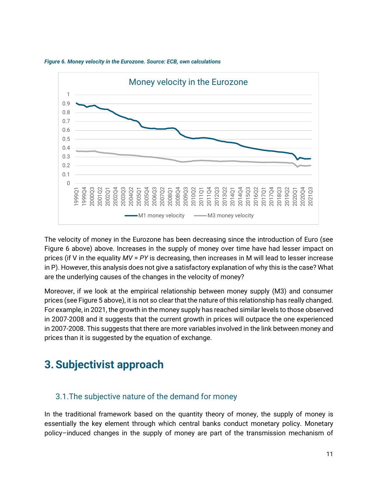

<span id="page-10-2"></span>*Figure 6. Money velocity in the Eurozone. Source: ECB, own calculations*

The velocity of money in the Eurozone has been decreasing since the introduction of Euro (see [Figure 6](#page-10-2) above) above. Increases in the supply of money over time have had lesser impact on prices (if V in the equality *MV* = *PY* is decreasing, then increases in M will lead to lesser increase in P). However, this analysis does not give a satisfactory explanation of why this is the case? What are the underlying causes of the changes in the velocity of money?

Moreover, if we look at the empirical relationship between money supply (M3) and consumer prices (se[e Figure 5](#page-8-1) above), it is not so clear that the nature of this relationship has really changed. For example, in 2021, the growth in the money supply has reached similar levels to those observed in 2007-2008 and it suggests that the current growth in prices will outpace the one experienced in 2007-2008. This suggests that there are more variables involved in the link between money and prices than it is suggested by the equation of exchange.

## <span id="page-10-0"></span>**3.Subjectivist approach**

#### <span id="page-10-1"></span>3.1.The subjective nature of the demand for money

In the traditional framework based on the quantity theory of money, the supply of money is essentially the key element through which central banks conduct monetary policy. Monetary policy–induced changes in the supply of money are part of the transmission mechanism of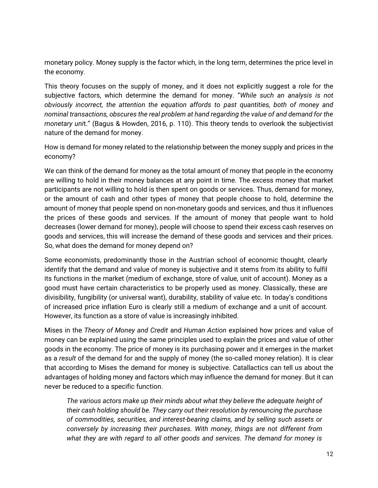monetary policy. Money supply is the factor which, in the long term, determines the price level in the economy.

This theory focuses on the supply of money, and it does not explicitly suggest a role for the subjective factors, which determine the demand for money. "*While such an analysis is not obviously incorrect, the attention the equation affords to past quantities, both of money and nominal transactions, obscures the real problem at hand regarding the value of and demand for the monetary uni*t." (Bagus & Howden, 2016, p. 110). This theory tends to overlook the subjectivist nature of the demand for money.

How is demand for money related to the relationship between the money supply and prices in the economy?

We can think of the demand for money as the total amount of money that people in the economy are willing to hold in their money balances at any point in time. The excess money that market participants are not willing to hold is then spent on goods or services. Thus, demand for money, or the amount of cash and other types of money that people choose to hold, determine the amount of money that people spend on non-monetary goods and services, and thus it influences the prices of these goods and services. If the amount of money that people want to hold decreases (lower demand for money), people will choose to spend their excess cash reserves on goods and services, this will increase the demand of these goods and services and their prices. So, what does the demand for money depend on?

Some economists, predominantly those in the Austrian school of economic thought, clearly identify that the demand and value of money is subjective and it stems from its ability to fulfil its functions in the market (medium of exchange, store of value, unit of account). Money as a good must have certain characteristics to be properly used as money. Classically, these are divisibility, fungibility (or universal want), durability, stability of value etc. In today's conditions of increased price inflation Euro is clearly still a medium of exchange and a unit of account. However, its function as a store of value is increasingly inhibited.

Mises in the *Theory of Money and Credit* and *Human Action* explained how prices and value of money can be explained using the same principles used to explain the prices and value of other goods in the economy. The price of money is its purchasing power and it emerges in the market as a *result* of the demand for and the supply of money (the so-called money relation). It is clear that according to Mises the demand for money is subjective. Catallactics can tell us about the advantages of holding money and factors which may influence the demand for money. But it can never be reduced to a specific function.

*The various actors make up their minds about what they believe the adequate height of their cash holding should be. They carry out their resolution by renouncing the purchase of commodities, securities, and interest-bearing claims, and by selling such assets or conversely by increasing their purchases. With money, things are not different from what they are with regard to all other goods and services. The demand for money is*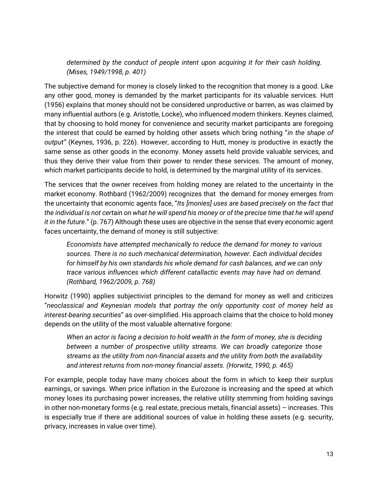*determined by the conduct of people intent upon acquiring it for their cash holding. (Mises, 1949/1998, p. 401)*

The subjective demand for money is closely linked to the recognition that money is a good. Like any other good, money is demanded by the market participants for its valuable services. Hutt (1956) explains that money should not be considered unproductive or barren, as was claimed by many influential authors (e.g. Aristotle, Locke), who influenced modern thinkers. Keynes claimed, that by choosing to hold money for convenience and security market participants are foregoing the interest that could be earned by holding other assets which bring nothing "*in the shape of output"* (Keynes, 1936, p. 226). However, according to Hutt, money is productive in exactly the same sense as other goods in the economy. Money assets held provide valuable services, and thus they derive their value from their power to render these services. The amount of money, which market participants decide to hold, is determined by the marginal utility of its services.

The services that the owner receives from holding money are related to the uncertainty in the market economy. Rothbard (1962/2009) recognizes that the demand for money emerges from the uncertainty that economic agents face, "*Its [monies] uses are based precisely on the fact that the individual is not certain on what he will spend his money or of the precise time that he will spend it in the future*." (p. 767) Although these uses are objective in the sense that every economic agent faces uncertainty, the demand of money is still subjective:

*Economists have attempted mechanically to reduce the demand for money to various sources. There is no such mechanical determination, however. Each individual decides for himself by his own standards his whole demand for cash balances, and we can only trace various influences which different catallactic events may have had on demand. (Rothbard, 1962/2009, p. 768)*

Horwitz (1990) applies subjectivist principles to the demand for money as well and criticizes "*neoclassical and Keynesian models that portray the only opportunity cost of money held as interest-bearing securities*" as over-simplified. His approach claims that the choice to hold money depends on the utility of the most valuable alternative forgone:

*When an actor is facing a decision to hold wealth in the form of money, she is deciding between a number of prospective utility streams. We can broadly categorize those streams as the utility from non-financial assets and the utility from both the availability and interest returns from non-money financial assets. (Horwitz, 1990, p. 465)*

For example, people today have many choices about the form in which to keep their surplus earnings, or savings. When price inflation in the Eurozone is increasing and the speed at which money loses its purchasing power increases, the relative utility stemming from holding savings in other non-monetary forms (e.g. real estate, precious metals, financial assets) – increases. This is especially true if there are additional sources of value in holding these assets (e.g. security, privacy, increases in value over time).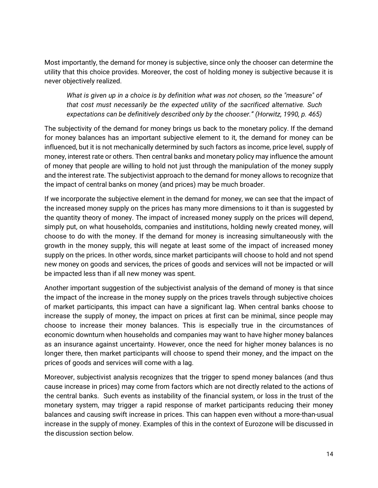Most importantly, the demand for money is subjective, since only the chooser can determine the utility that this choice provides. Moreover, the cost of holding money is subjective because it is never objectively realized.

*What is given up in a choice is by definition what was not chosen, so the "measure" of that cost must necessarily be the expected utility of the sacrificed alternative. Such expectations can be definitively described only by the chooser." (Horwitz, 1990, p. 465)*

The subjectivity of the demand for money brings us back to the monetary policy. If the demand for money balances has an important subjective element to it, the demand for money can be influenced, but it is not mechanically determined by such factors as income, price level, supply of money, interest rate or others. Then central banks and monetary policy may influence the amount of money that people are willing to hold not just through the manipulation of the money supply and the interest rate. The subjectivist approach to the demand for money allows to recognize that the impact of central banks on money (and prices) may be much broader.

If we incorporate the subjective element in the demand for money, we can see that the impact of the increased money supply on the prices has many more dimensions to it than is suggested by the quantity theory of money. The impact of increased money supply on the prices will depend, simply put, on what households, companies and institutions, holding newly created money, will choose to do with the money. If the demand for money is increasing simultaneously with the growth in the money supply, this will negate at least some of the impact of increased money supply on the prices. In other words, since market participants will choose to hold and not spend new money on goods and services, the prices of goods and services will not be impacted or will be impacted less than if all new money was spent.

Another important suggestion of the subjectivist analysis of the demand of money is that since the impact of the increase in the money supply on the prices travels through subjective choices of market participants, this impact can have a significant lag. When central banks choose to increase the supply of money, the impact on prices at first can be minimal, since people may choose to increase their money balances. This is especially true in the circumstances of economic downturn when households and companies may want to have higher money balances as an insurance against uncertainty. However, once the need for higher money balances is no longer there, then market participants will choose to spend their money, and the impact on the prices of goods and services will come with a lag.

Moreover, subjectivist analysis recognizes that the trigger to spend money balances (and thus cause increase in prices) may come from factors which are not directly related to the actions of the central banks. Such events as instability of the financial system, or loss in the trust of the monetary system, may trigger a rapid response of market participants reducing their money balances and causing swift increase in prices. This can happen even without a more-than-usual increase in the supply of money. Examples of this in the context of Eurozone will be discussed in the discussion section below.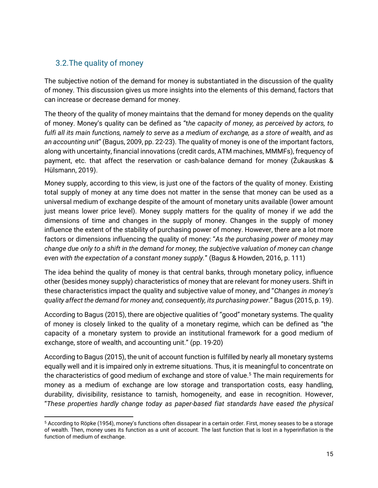#### <span id="page-14-0"></span>3.2.The quality of money

The subjective notion of the demand for money is substantiated in the discussion of the quality of money. This discussion gives us more insights into the elements of this demand, factors that can increase or decrease demand for money.

The theory of the quality of money maintains that the demand for money depends on the quality of money. Money's quality can be defined as "t*he capacity of money, as perceived by actors, to fulfi all its main functions, namely to serve as a medium of exchange, as a store of wealth, and as an accounting unit*" (Bagus, 2009, pp. 22-23). The quality of money is one of the important factors, along with uncertainty, financial innovations (credit cards, ATM machines, MMMFs), frequency of payment, etc. that affect the reservation or cash-balance demand for money (Žukauskas & Hülsmann, 2019).

Money supply, according to this view, is just one of the factors of the quality of money. Existing total supply of money at any time does not matter in the sense that money can be used as a universal medium of exchange despite of the amount of monetary units available (lower amount just means lower price level). Money supply matters for the quality of money if we add the dimensions of time and changes in the supply of money. Changes in the supply of money influence the extent of the stability of purchasing power of money. However, there are a lot more factors or dimensions influencing the quality of money: "*As the purchasing power of money may change due only to a shift in the demand for money, the subjective valuation of money can change even with the expectation of a constant money supply.*" (Bagus & Howden, 2016, p. 111)

The idea behind the quality of money is that central banks, through monetary policy, influence other (besides money supply) characteristics of money that are relevant for money users. Shift in these characteristics impact the quality and subjective value of money, and "*Changes in money's quality affect the demand for money and, consequently, its purchasing power*." Bagus (2015, p. 19).

According to Bagus (2015), there are objective qualities of "good" monetary systems. The quality of money is closely linked to the quality of a monetary regime, which can be defined as "the capacity of a monetary system to provide an institutional framework for a good medium of exchange, store of wealth, and accounting unit." (pp. 19-20)

According to Bagus (2015), the unit of account function is fulfilled by nearly all monetary systems equally well and it is impaired only in extreme situations. Thus, it is meaningful to concentrate on the characteristics of good medium of exchange and store of value.<sup>5</sup> The main requirements for money as a medium of exchange are low storage and transportation costs, easy handling, durability, divisibility, resistance to tarnish, homogeneity, and ease in recognition. However, "*These properties hardly change today as paper-based fiat standards have eased the physical* 

<sup>5</sup> According to Röpke (1954), money's functions often dissapear in a certain order. First, money seases to be a storage of wealth. Then, money uses its function as a unit of account. The last function that is lost in a hyperinflation is the function of medium of exchange.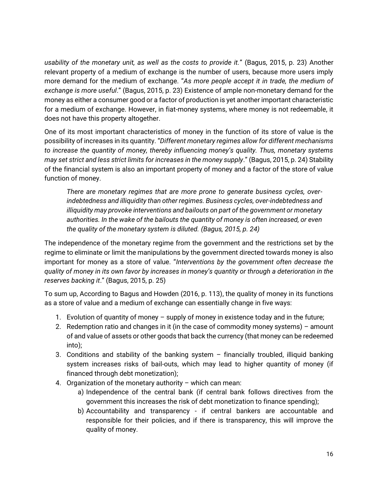*usability of the monetary unit, as well as the costs to provide it.*" (Bagus, 2015, p. 23) Another relevant property of a medium of exchange is the number of users, because more users imply more demand for the medium of exchange. "*As more people accept it in trade, the medium of exchange is more useful*." (Bagus, 2015, p. 23) Existence of ample non-monetary demand for the money as either a consumer good or a factor of production is yet another important characteristic for a medium of exchange. However, in fiat-money systems, where money is not redeemable, it does not have this property altogether.

One of its most important characteristics of money in the function of its store of value is the possibility of increases in its quantity. "*Different monetary regimes allow for different mechanisms to increase the quantity of money, thereby influencing money's quality. Thus, monetary systems may set strict and less strict limits for increases in the money supply*." (Bagus, 2015, p. 24) Stability of the financial system is also an important property of money and a factor of the store of value function of money.

*There are monetary regimes that are more prone to generate business cycles, overindebtedness and illiquidity than other regimes. Business cycles, over-indebtedness and illiquidity may provoke interventions and bailouts on part of the government or monetary authorities. In the wake of the bailouts the quantity of money is often increased, or even the quality of the monetary system is diluted. (Bagus, 2015, p. 24)*

The independence of the monetary regime from the government and the restrictions set by the regime to eliminate or limit the manipulations by the government directed towards money is also important for money as a store of value. "*Interventions by the government often decrease the quality of money in its own favor by increases in money's quantity or through a deterioration in the reserves backing it*." (Bagus, 2015, p. 25)

To sum up, According to Bagus and Howden (2016, p. 113), the quality of money in its functions as a store of value and a medium of exchange can essentially change in five ways:

- 1. Evolution of quantity of money supply of money in existence today and in the future;
- 2. Redemption ratio and changes in it (in the case of commodity money systems) amount of and value of assets or other goods that back the currency (that money can be redeemed into);
- 3. Conditions and stability of the banking system financially troubled, illiquid banking system increases risks of bail-outs, which may lead to higher quantity of money (if financed through debt monetization);
- 4. Organization of the monetary authority which can mean:
	- a) Independence of the central bank (if central bank follows directives from the government this increases the risk of debt monetization to finance spending);
	- b) Accountability and transparency if central bankers are accountable and responsible for their policies, and if there is transparency, this will improve the quality of money.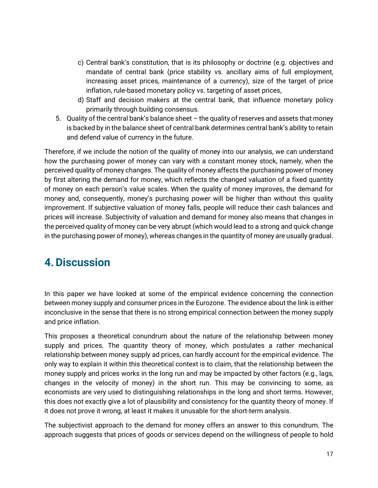- c) Central bank's constitution, that is its philosophy or doctrine (e.g. objectives and mandate of central bank (price stability vs. ancillary aims of full employment, increasing asset prices, maintenance of a currency), size of the target of price inflation, rule-based monetary policy vs. targeting of asset prices,
- d) Staff and decision makers at the central bank, that influence monetary policy primarily through building consensus.
- 5. Quality of the central bank's balance sheet the quality of reserves and assets that money is backed by in the balance sheet of central bank determines central bank's ability to retain and defend value of currency in the future.

Therefore, if we include the notion of the quality of money into our analysis, we can understand how the purchasing power of money can vary with a constant money stock, namely, when the perceived quality of money changes. The quality of money affects the purchasing power of money by first altering the demand for money, which reflects the changed valuation of a fixed quantity of money on each person's value scales. When the quality of money improves, the demand for money and, consequently, money's purchasing power will be higher than without this quality improvement. If subjective valuation of money falls, people will reduce their cash balances and prices will increase. Subjectivity of valuation and demand for money also means that changes in the perceived quality of money can be very abrupt (which would lead to a strong and quick change in the purchasing power of money), whereas changes in the quantity of money are usually gradual.

## <span id="page-16-0"></span>**4.Discussion**

In this paper we have looked at some of the empirical evidence concerning the connection between money supply and consumer prices in the Eurozone. The evidence about the link is either inconclusive in the sense that there is no strong empirical connection between the money supply and price inflation.

This proposes a theoretical conundrum about the nature of the relationship between money supply and prices. The quantity theory of money, which postulates a rather mechanical relationship between money supply ad prices, can hardly account for the empirical evidence. The only way to explain it within this theoretical context is to claim, that the relationship between the money supply and prices works in the long run and may be impacted by other factors (e.g., lags, changes in the velocity of money) in the short run. This may be convincing to some, as economists are very used to distinguishing relationships in the long and short terms. However, this does not exactly give a lot of plausibility and consistency for the quantity theory of money. If it does not prove it wrong, at least it makes it unusable for the short-term analysis.

The subjectivist approach to the demand for money offers an answer to this conundrum. The approach suggests that prices of goods or services depend on the willingness of people to hold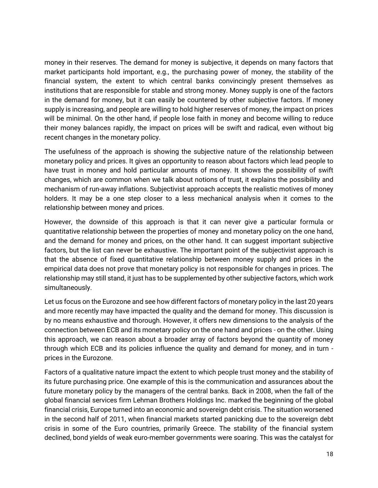money in their reserves. The demand for money is subjective, it depends on many factors that market participants hold important, e.g., the purchasing power of money, the stability of the financial system, the extent to which central banks convincingly present themselves as institutions that are responsible for stable and strong money. Money supply is one of the factors in the demand for money, but it can easily be countered by other subjective factors. If money supply is increasing, and people are willing to hold higher reserves of money, the impact on prices will be minimal. On the other hand, if people lose faith in money and become willing to reduce their money balances rapidly, the impact on prices will be swift and radical, even without big recent changes in the monetary policy.

The usefulness of the approach is showing the subjective nature of the relationship between monetary policy and prices. It gives an opportunity to reason about factors which lead people to have trust in money and hold particular amounts of money. It shows the possibility of swift changes, which are common when we talk about notions of trust, it explains the possibility and mechanism of run-away inflations. Subjectivist approach accepts the realistic motives of money holders. It may be a one step closer to a less mechanical analysis when it comes to the relationship between money and prices.

However, the downside of this approach is that it can never give a particular formula or quantitative relationship between the properties of money and monetary policy on the one hand, and the demand for money and prices, on the other hand. It can suggest important subjective factors, but the list can never be exhaustive. The important point of the subjectivist approach is that the absence of fixed quantitative relationship between money supply and prices in the empirical data does not prove that monetary policy is not responsible for changes in prices. The relationship may still stand, it just has to be supplemented by other subjective factors, which work simultaneously.

Let us focus on the Eurozone and see how different factors of monetary policy in the last 20 years and more recently may have impacted the quality and the demand for money. This discussion is by no means exhaustive and thorough. However, it offers new dimensions to the analysis of the connection between ECB and its monetary policy on the one hand and prices - on the other. Using this approach, we can reason about a broader array of factors beyond the quantity of money through which ECB and its policies influence the quality and demand for money, and in turn prices in the Eurozone.

Factors of a qualitative nature impact the extent to which people trust money and the stability of its future purchasing price. One example of this is the communication and assurances about the future monetary policy by the managers of the central banks. Back in 2008, when the fall of the global financial services firm Lehman Brothers Holdings Inc. marked the beginning of the global financial crisis, Europe turned into an economic and sovereign debt crisis. The situation worsened in the second half of 2011, when financial markets started panicking due to the sovereign debt crisis in some of the Euro countries, primarily Greece. The stability of the financial system declined, bond yields of weak euro-member governments were soaring. This was the catalyst for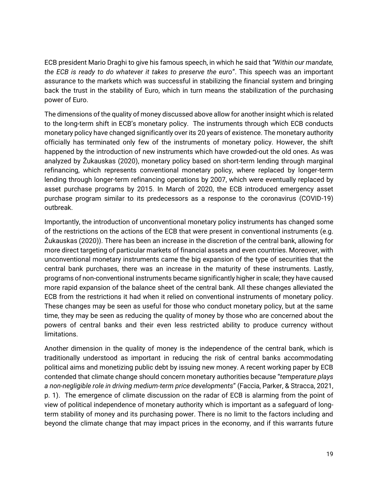ECB president Mario Draghi to give his famous speech, in which he said that *"Within our mandate, the ECB is ready to do whatever it takes to preserve the euro*". This speech was an important assurance to the markets which was successful in stabilizing the financial system and bringing back the trust in the stability of Euro, which in turn means the stabilization of the purchasing power of Euro.

The dimensions of the quality of money discussed above allow for another insight which is related to the long-term shift in ECB's monetary policy. The instruments through which ECB conducts monetary policy have changed significantly over its 20 years of existence. The monetary authority officially has terminated only few of the instruments of monetary policy. However, the shift happened by the introduction of new instruments which have crowded-out the old ones. As was analyzed by Žukauskas (2020), monetary policy based on short-term lending through marginal refinancing, which represents conventional monetary policy, where replaced by longer-term lending through longer-term refinancing operations by 2007, which were eventually replaced by asset purchase programs by 2015. In March of 2020, the ECB introduced emergency asset purchase program similar to its predecessors as a response to the coronavirus (COVID-19) outbreak.

Importantly, the introduction of unconventional monetary policy instruments has changed some of the restrictions on the actions of the ECB that were present in conventional instruments (e.g. Žukauskas (2020)). There has been an increase in the discretion of the central bank, allowing for more direct targeting of particular markets of financial assets and even countries. Moreover, with unconventional monetary instruments came the big expansion of the type of securities that the central bank purchases, there was an increase in the maturity of these instruments. Lastly, programs of non-conventional instruments became significantly higher in scale; they have caused more rapid expansion of the balance sheet of the central bank. All these changes alleviated the ECB from the restrictions it had when it relied on conventional instruments of monetary policy. These changes may be seen as useful for those who conduct monetary policy, but at the same time, they may be seen as reducing the quality of money by those who are concerned about the powers of central banks and their even less restricted ability to produce currency without limitations.

Another dimension in the quality of money is the independence of the central bank, which is traditionally understood as important in reducing the risk of central banks accommodating political aims and monetizing public debt by issuing new money. A recent working paper by ECB contended that climate change should concern monetary authorities because "*temperature plays a non-negligible role in driving medium-term price developments*" (Faccia, Parker, & Stracca, 2021, p. 1). The emergence of climate discussion on the radar of ECB is alarming from the point of view of political independence of monetary authority which is important as a safeguard of longterm stability of money and its purchasing power. There is no limit to the factors including and beyond the climate change that may impact prices in the economy, and if this warrants future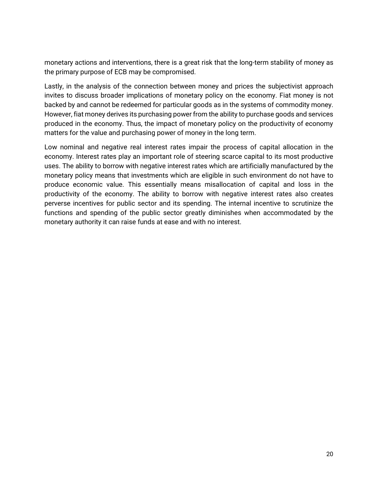monetary actions and interventions, there is a great risk that the long-term stability of money as the primary purpose of ECB may be compromised.

Lastly, in the analysis of the connection between money and prices the subjectivist approach invites to discuss broader implications of monetary policy on the economy. Fiat money is not backed by and cannot be redeemed for particular goods as in the systems of commodity money. However, fiat money derives its purchasing power from the ability to purchase goods and services produced in the economy. Thus, the impact of monetary policy on the productivity of economy matters for the value and purchasing power of money in the long term.

Low nominal and negative real interest rates impair the process of capital allocation in the economy. Interest rates play an important role of steering scarce capital to its most productive uses. The ability to borrow with negative interest rates which are artificially manufactured by the monetary policy means that investments which are eligible in such environment do not have to produce economic value. This essentially means misallocation of capital and loss in the productivity of the economy. The ability to borrow with negative interest rates also creates perverse incentives for public sector and its spending. The internal incentive to scrutinize the functions and spending of the public sector greatly diminishes when accommodated by the monetary authority it can raise funds at ease and with no interest.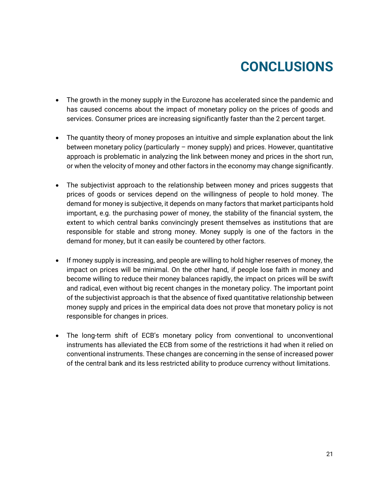## **CONCLUSIONS**

- <span id="page-20-0"></span>• The growth in the money supply in the Eurozone has accelerated since the pandemic and has caused concerns about the impact of monetary policy on the prices of goods and services. Consumer prices are increasing significantly faster than the 2 percent target.
- The quantity theory of money proposes an intuitive and simple explanation about the link between monetary policy (particularly – money supply) and prices. However, quantitative approach is problematic in analyzing the link between money and prices in the short run, or when the velocity of money and other factors in the economy may change significantly.
- The subjectivist approach to the relationship between money and prices suggests that prices of goods or services depend on the willingness of people to hold money. The demand for money is subjective, it depends on many factors that market participants hold important, e.g. the purchasing power of money, the stability of the financial system, the extent to which central banks convincingly present themselves as institutions that are responsible for stable and strong money. Money supply is one of the factors in the demand for money, but it can easily be countered by other factors.
- If money supply is increasing, and people are willing to hold higher reserves of money, the impact on prices will be minimal. On the other hand, if people lose faith in money and become willing to reduce their money balances rapidly, the impact on prices will be swift and radical, even without big recent changes in the monetary policy. The important point of the subjectivist approach is that the absence of fixed quantitative relationship between money supply and prices in the empirical data does not prove that monetary policy is not responsible for changes in prices.
- The long-term shift of ECB's monetary policy from conventional to unconventional instruments has alleviated the ECB from some of the restrictions it had when it relied on conventional instruments. These changes are concerning in the sense of increased power of the central bank and its less restricted ability to produce currency without limitations.